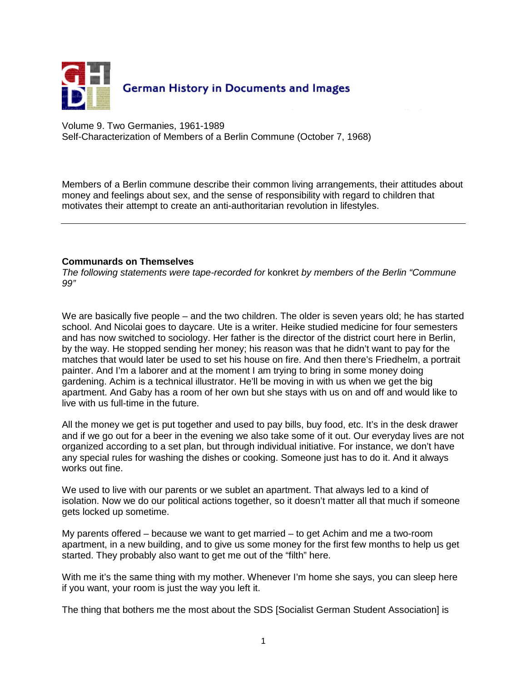

Volume 9. Two Germanies, 1961-1989 Self-Characterization of Members of a Berlin Commune (October 7, 1968)

Members of a Berlin commune describe their common living arrangements, their attitudes about money and feelings about sex, and the sense of responsibility with regard to children that motivates their attempt to create an anti-authoritarian revolution in lifestyles.

## **Communards on Themselves**

The following statements were tape-recorded for konkret by members of the Berlin "Commune 99"

We are basically five people – and the two children. The older is seven years old; he has started school. And Nicolai goes to daycare. Ute is a writer. Heike studied medicine for four semesters and has now switched to sociology. Her father is the director of the district court here in Berlin, by the way. He stopped sending her money; his reason was that he didn't want to pay for the matches that would later be used to set his house on fire. And then there's Friedhelm, a portrait painter. And I'm a laborer and at the moment I am trying to bring in some money doing gardening. Achim is a technical illustrator. He'll be moving in with us when we get the big apartment. And Gaby has a room of her own but she stays with us on and off and would like to live with us full-time in the future.

All the money we get is put together and used to pay bills, buy food, etc. It's in the desk drawer and if we go out for a beer in the evening we also take some of it out. Our everyday lives are not organized according to a set plan, but through individual initiative. For instance, we don't have any special rules for washing the dishes or cooking. Someone just has to do it. And it always works out fine.

We used to live with our parents or we sublet an apartment. That always led to a kind of isolation. Now we do our political actions together, so it doesn't matter all that much if someone gets locked up sometime.

My parents offered – because we want to get married – to get Achim and me a two-room apartment, in a new building, and to give us some money for the first few months to help us get started. They probably also want to get me out of the "filth" here.

With me it's the same thing with my mother. Whenever I'm home she says, you can sleep here if you want, your room is just the way you left it.

The thing that bothers me the most about the SDS [Socialist German Student Association] is